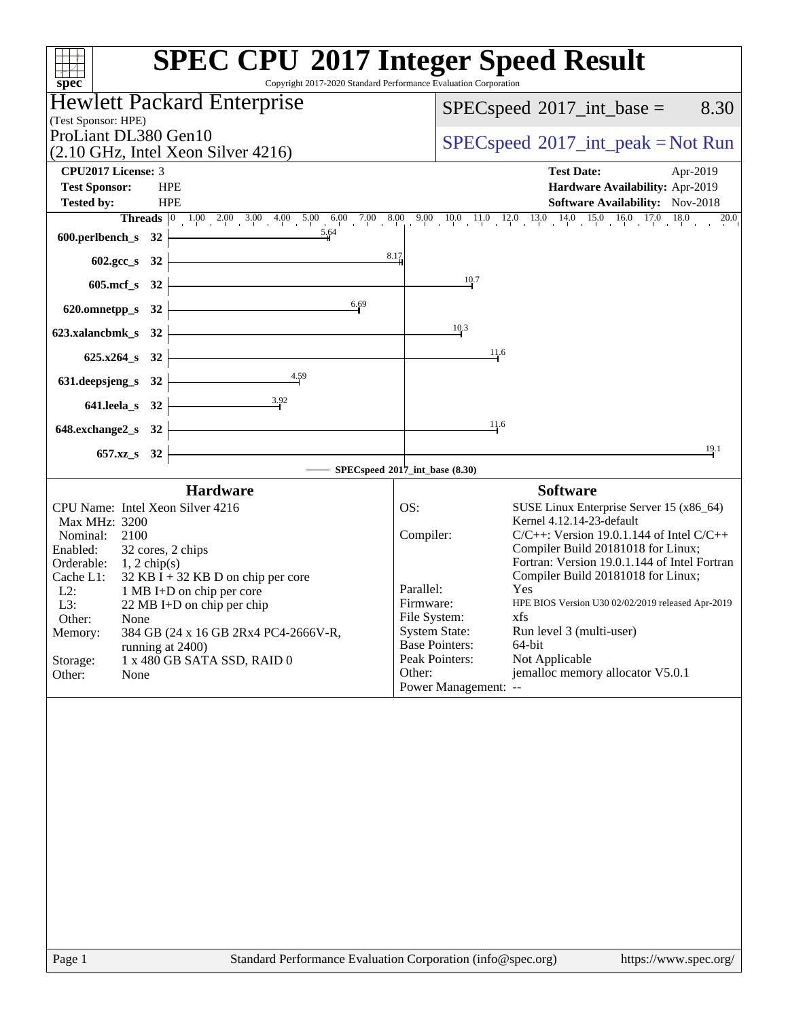|                                                                                          | <b>SPEC CPU®2017 Integer Speed Result</b>                                    |
|------------------------------------------------------------------------------------------|------------------------------------------------------------------------------|
| spec <sup>®</sup>                                                                        | Copyright 2017-2020 Standard Performance Evaluation Corporation              |
| <b>Hewlett Packard Enterprise</b>                                                        | $SPEC speed^{\circ}2017\_int\_base =$<br>8.30                                |
| (Test Sponsor: HPE)                                                                      |                                                                              |
| ProLiant DL380 Gen10                                                                     | $SPEC speed^{\circ}2017\_int\_peak = Not Run$                                |
| $(2.10 \text{ GHz}, \text{Intel Xeon Silver } 4216)$                                     |                                                                              |
| CPU2017 License: 3                                                                       | <b>Test Date:</b><br>Apr-2019                                                |
| <b>Test Sponsor:</b><br><b>HPE</b>                                                       | Hardware Availability: Apr-2019                                              |
| <b>Tested by:</b><br><b>HPE</b>                                                          | Software Availability: Nov-2018<br>$\overline{20.0}$                         |
| 600.perlbench_s $32 \n\big\}$                                                            |                                                                              |
|                                                                                          |                                                                              |
| $602.\text{sec}\_\text{S}$ 32 $\overline{\qquad \qquad }$                                | 8.17                                                                         |
| $605 \text{.mcf}\, \text{s}$ 32                                                          | 10.7                                                                         |
| 6.69                                                                                     |                                                                              |
| $620.0$ mnetpp_s $32$ $\overline{\phantom{a}}$                                           |                                                                              |
| 623.xalancbmk_s 32 $\vert$                                                               | 10.3                                                                         |
| $625.x264_s$ 32                                                                          | 11.6                                                                         |
| 631. deepsjeng_s 32 $\overline{ )}$ 4.59                                                 |                                                                              |
|                                                                                          |                                                                              |
| 641.leela_s 32 $\overline{) \qquad \qquad }$ 3.92                                        |                                                                              |
| $648.$ exchange $2_s$ 32 $\overline{\phantom{a}}$                                        | 11.6                                                                         |
|                                                                                          | 19.1                                                                         |
| $657.xz$ $32$                                                                            |                                                                              |
|                                                                                          | $-$ SPECspeed®2017_int_base $(8.30)$                                         |
| <b>Hardware</b>                                                                          | <b>Software</b>                                                              |
| CPU Name: Intel Xeon Silver 4216<br>Max MHz: 3200                                        | OS:<br>SUSE Linux Enterprise Server 15 (x86_64)<br>Kernel 4.12.14-23-default |
| Nominal: 2100                                                                            | Compiler:<br>$C/C++$ : Version 19.0.1.144 of Intel $C/C++$                   |
| 32 cores, 2 chips<br>Enabled:                                                            | Compiler Build 20181018 for Linux;                                           |
| Orderable: 1, 2 chip(s)                                                                  | Fortran: Version 19.0.1.144 of Intel Fortran                                 |
| Cache L1:<br>$32$ KB I + 32 KB D on chip per core<br>$L2$ :<br>1 MB I+D on chip per core | Compiler Build 20181018 for Linux;<br>Parallel:<br>Yes                       |
| L3:<br>$22 \text{ MB}$ I+D on chip per chip                                              | HPE BIOS Version U30 02/02/2019 released Apr-2019<br>Firmware:               |
| Other:<br>None                                                                           | File System:<br>xfs                                                          |
| Memory:<br>384 GB (24 x 16 GB 2Rx4 PC4-2666V-R,                                          | <b>System State:</b><br>Run level 3 (multi-user)                             |
| running at 2400)<br>1 x 480 GB SATA SSD, RAID 0<br>Storage:                              | <b>Base Pointers:</b><br>64-bit<br>Peak Pointers:<br>Not Applicable          |
| Other:<br>None                                                                           | jemalloc memory allocator V5.0.1<br>Other:                                   |
|                                                                                          | Power Management: --                                                         |
|                                                                                          |                                                                              |
|                                                                                          |                                                                              |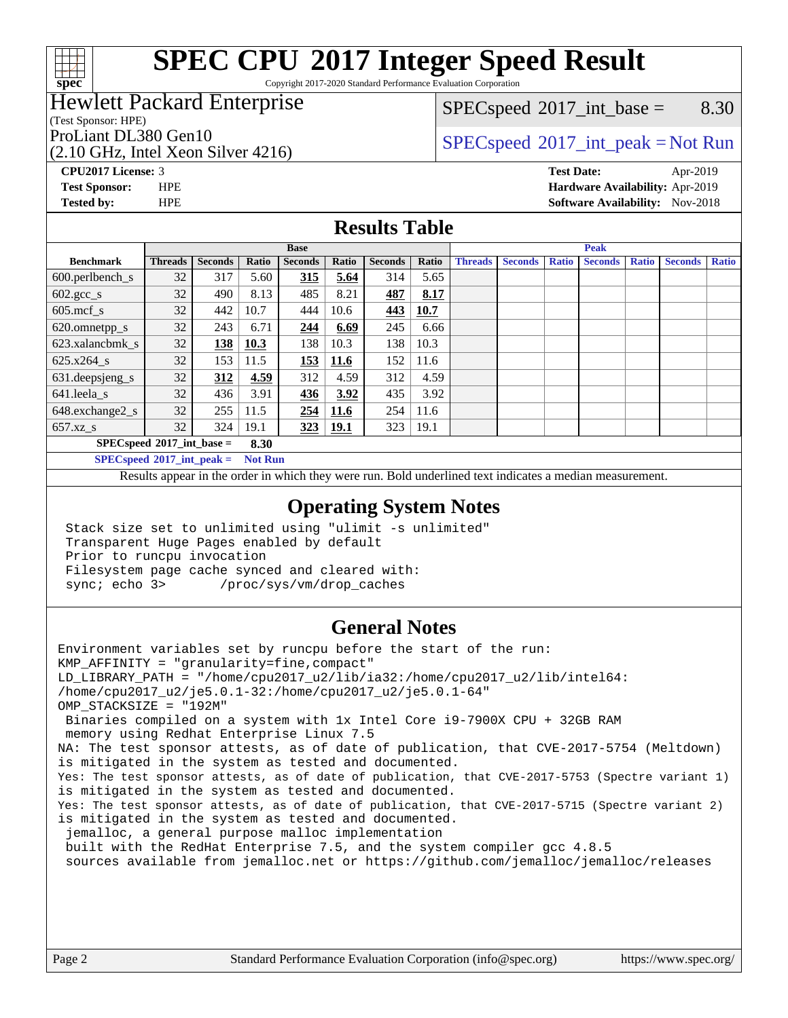

Copyright 2017-2020 Standard Performance Evaluation Corporation

## Hewlett Packard Enterprise

(Test Sponsor: HPE)

(2.10 GHz, Intel Xeon Silver 4216)

 $SPEC speed^{\circ}2017\_int\_base =$  8.30

## ProLiant DL380 Gen10<br>  $SPECspeed^{\circ}2017\_int\_peak = Not Run$  $SPECspeed^{\circ}2017\_int\_peak = Not Run$

**[CPU2017 License:](http://www.spec.org/auto/cpu2017/Docs/result-fields.html#CPU2017License)** 3 **[Test Date:](http://www.spec.org/auto/cpu2017/Docs/result-fields.html#TestDate)** Apr-2019 **[Test Sponsor:](http://www.spec.org/auto/cpu2017/Docs/result-fields.html#TestSponsor)** HPE **[Hardware Availability:](http://www.spec.org/auto/cpu2017/Docs/result-fields.html#HardwareAvailability)** Apr-2019 **[Tested by:](http://www.spec.org/auto/cpu2017/Docs/result-fields.html#Testedby)** HPE **[Software Availability:](http://www.spec.org/auto/cpu2017/Docs/result-fields.html#SoftwareAvailability)** Nov-2018

### **[Results Table](http://www.spec.org/auto/cpu2017/Docs/result-fields.html#ResultsTable)**

|                                     | <b>Base</b>    |                |       |                | <b>Peak</b> |                |       |                |                |              |                |              |                |              |
|-------------------------------------|----------------|----------------|-------|----------------|-------------|----------------|-------|----------------|----------------|--------------|----------------|--------------|----------------|--------------|
| <b>Benchmark</b>                    | <b>Threads</b> | <b>Seconds</b> | Ratio | <b>Seconds</b> | Ratio       | <b>Seconds</b> | Ratio | <b>Threads</b> | <b>Seconds</b> | <b>Ratio</b> | <b>Seconds</b> | <b>Ratio</b> | <b>Seconds</b> | <b>Ratio</b> |
| $600.$ perlbench_s                  | 32             | 317            | 5.60  | 315            | 5.64        | 314            | 5.65  |                |                |              |                |              |                |              |
| $602.\text{gcc}\_\text{s}$          | 32             | 490            | 8.13  | 485            | 8.21        | 487            | 8.17  |                |                |              |                |              |                |              |
| $605$ .mcf s                        | 32             | 442            | 10.7  | 444            | 10.6        | 443            | 10.7  |                |                |              |                |              |                |              |
| 620.omnetpp_s                       | 32             | 243            | 6.71  | 244            | 6.69        | 245            | 6.66  |                |                |              |                |              |                |              |
| 623.xalancbmk s                     | 32             | 138            | 10.3  | 138            | 10.3        | 138            | 10.3  |                |                |              |                |              |                |              |
| 625.x264 s                          | 32             | 153            | 11.5  | 153            | 11.6        | 152            | 11.6  |                |                |              |                |              |                |              |
| 631.deepsjeng_s                     | 32             | 312            | 4.59  | 312            | 4.59        | 312            | 4.59  |                |                |              |                |              |                |              |
| $641.$ leela_s                      | 32             | 436            | 3.91  | <b>436</b>     | 3.92        | 435            | 3.92  |                |                |              |                |              |                |              |
| 648.exchange2_s                     | 32             | 255            | 11.5  | 254            | 11.6        | 254            | 11.6  |                |                |              |                |              |                |              |
| 657.xz s                            | 32             | 324            | 19.1  | 323            | <u>19.1</u> | 323            | 19.1  |                |                |              |                |              |                |              |
| $SPECspeed*2017$ int base =<br>8.30 |                |                |       |                |             |                |       |                |                |              |                |              |                |              |

**[SPECspeed](http://www.spec.org/auto/cpu2017/Docs/result-fields.html#SPECspeed2017intpeak)[2017\\_int\\_peak =](http://www.spec.org/auto/cpu2017/Docs/result-fields.html#SPECspeed2017intpeak) Not Run**

Results appear in the [order in which they were run.](http://www.spec.org/auto/cpu2017/Docs/result-fields.html#RunOrder) Bold underlined text [indicates a median measurement.](http://www.spec.org/auto/cpu2017/Docs/result-fields.html#Median)

### **[Operating System Notes](http://www.spec.org/auto/cpu2017/Docs/result-fields.html#OperatingSystemNotes)**

 Stack size set to unlimited using "ulimit -s unlimited" Transparent Huge Pages enabled by default Prior to runcpu invocation Filesystem page cache synced and cleared with: sync; echo 3> /proc/sys/vm/drop\_caches

### **[General Notes](http://www.spec.org/auto/cpu2017/Docs/result-fields.html#GeneralNotes)**

Environment variables set by runcpu before the start of the run: KMP\_AFFINITY = "granularity=fine,compact" LD\_LIBRARY\_PATH = "/home/cpu2017\_u2/lib/ia32:/home/cpu2017\_u2/lib/intel64: /home/cpu2017\_u2/je5.0.1-32:/home/cpu2017\_u2/je5.0.1-64" OMP\_STACKSIZE = "192M" Binaries compiled on a system with 1x Intel Core i9-7900X CPU + 32GB RAM memory using Redhat Enterprise Linux 7.5 NA: The test sponsor attests, as of date of publication, that CVE-2017-5754 (Meltdown) is mitigated in the system as tested and documented. Yes: The test sponsor attests, as of date of publication, that CVE-2017-5753 (Spectre variant 1) is mitigated in the system as tested and documented. Yes: The test sponsor attests, as of date of publication, that CVE-2017-5715 (Spectre variant 2) is mitigated in the system as tested and documented. jemalloc, a general purpose malloc implementation built with the RedHat Enterprise 7.5, and the system compiler gcc 4.8.5 sources available from jemalloc.net or<https://github.com/jemalloc/jemalloc/releases>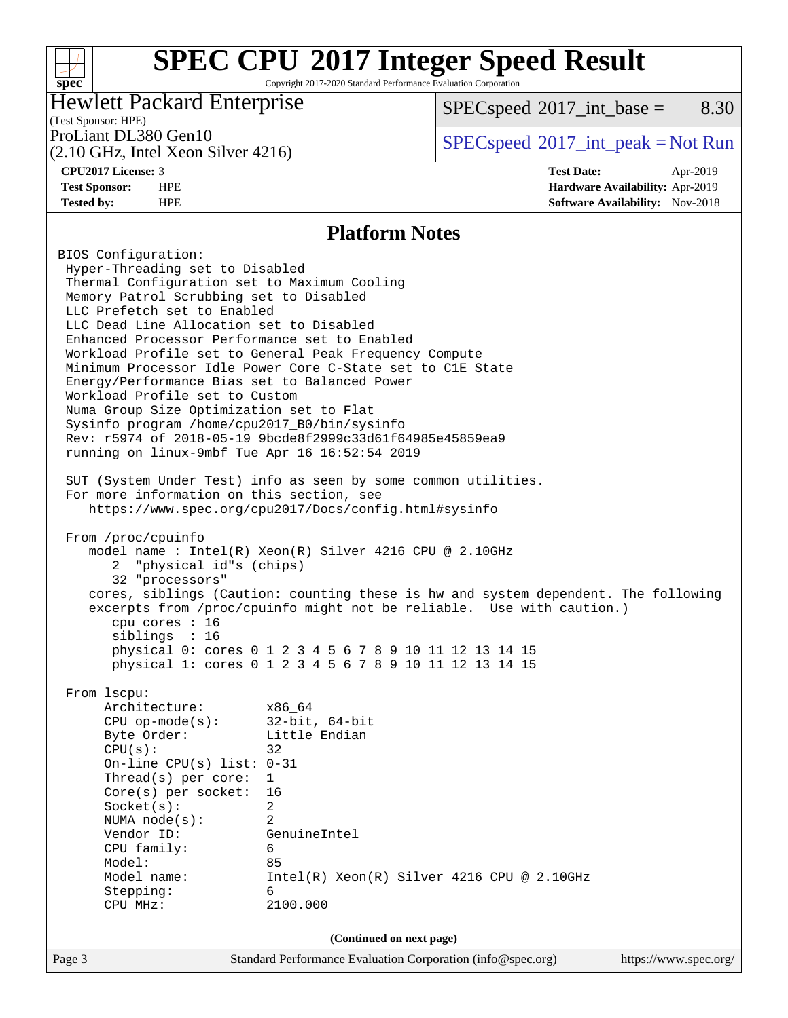Copyright 2017-2020 Standard Performance Evaluation Corporation

### Hewlett Packard Enterprise

 $SPECspeed^{\circ}2017\_int\_base =$  $SPECspeed^{\circ}2017\_int\_base =$  8.30

## (Test Sponsor: HPE)

(2.10 GHz, Intel Xeon Silver 4216)

ProLiant DL380 Gen10<br>  $SPECspeed^{\circ}2017\_int\_peak = Not Run$  $SPECspeed^{\circ}2017\_int\_peak = Not Run$ 

**[spec](http://www.spec.org/)**

 $+\ +$ 

**[CPU2017 License:](http://www.spec.org/auto/cpu2017/Docs/result-fields.html#CPU2017License)** 3 **[Test Date:](http://www.spec.org/auto/cpu2017/Docs/result-fields.html#TestDate)** Apr-2019 **[Test Sponsor:](http://www.spec.org/auto/cpu2017/Docs/result-fields.html#TestSponsor)** HPE **[Hardware Availability:](http://www.spec.org/auto/cpu2017/Docs/result-fields.html#HardwareAvailability)** Apr-2019 **[Tested by:](http://www.spec.org/auto/cpu2017/Docs/result-fields.html#Testedby)** HPE **[Software Availability:](http://www.spec.org/auto/cpu2017/Docs/result-fields.html#SoftwareAvailability)** Nov-2018

### **[Platform Notes](http://www.spec.org/auto/cpu2017/Docs/result-fields.html#PlatformNotes)**

Page 3 Standard Performance Evaluation Corporation [\(info@spec.org\)](mailto:info@spec.org) <https://www.spec.org/> BIOS Configuration: Hyper-Threading set to Disabled Thermal Configuration set to Maximum Cooling Memory Patrol Scrubbing set to Disabled LLC Prefetch set to Enabled LLC Dead Line Allocation set to Disabled Enhanced Processor Performance set to Enabled Workload Profile set to General Peak Frequency Compute Minimum Processor Idle Power Core C-State set to C1E State Energy/Performance Bias set to Balanced Power Workload Profile set to Custom Numa Group Size Optimization set to Flat Sysinfo program /home/cpu2017\_B0/bin/sysinfo Rev: r5974 of 2018-05-19 9bcde8f2999c33d61f64985e45859ea9 running on linux-9mbf Tue Apr 16 16:52:54 2019 SUT (System Under Test) info as seen by some common utilities. For more information on this section, see <https://www.spec.org/cpu2017/Docs/config.html#sysinfo> From /proc/cpuinfo model name : Intel(R) Xeon(R) Silver 4216 CPU @ 2.10GHz 2 "physical id"s (chips) 32 "processors" cores, siblings (Caution: counting these is hw and system dependent. The following excerpts from /proc/cpuinfo might not be reliable. Use with caution.) cpu cores : 16 siblings : 16 physical 0: cores 0 1 2 3 4 5 6 7 8 9 10 11 12 13 14 15 physical 1: cores 0 1 2 3 4 5 6 7 8 9 10 11 12 13 14 15 From lscpu: Architecture: x86\_64 CPU op-mode(s): 32-bit, 64-bit Byte Order: Little Endian  $CPU(s):$  32 On-line CPU(s) list: 0-31 Thread(s) per core: 1 Core(s) per socket: 16 Socket(s): 2 NUMA node(s): 2 Vendor ID: GenuineIntel CPU family: 6 Model: 85 Model name: Intel(R) Xeon(R) Silver 4216 CPU @ 2.10GHz Stepping: 6 CPU MHz: 2100.000 **(Continued on next page)**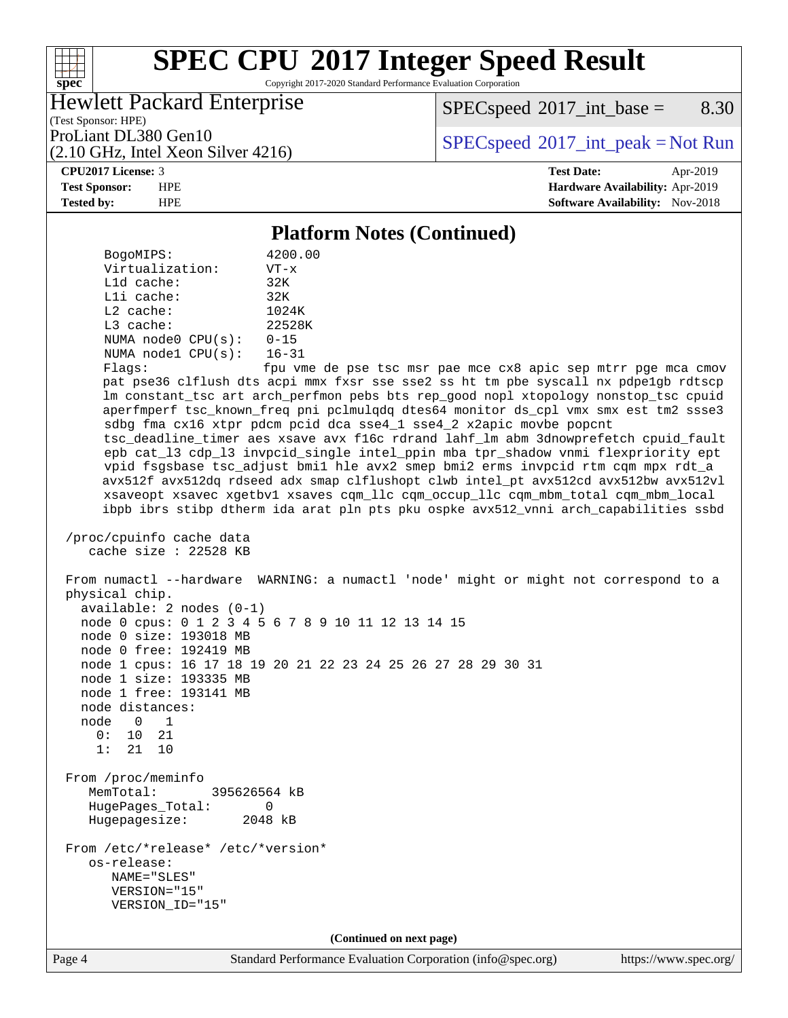Copyright 2017-2020 Standard Performance Evaluation Corporation

### Hewlett Packard Enterprise

 $SPEC speed^{\circ}2017\_int\_base =$  8.30

(Test Sponsor: HPE) (2.10 GHz, Intel Xeon Silver 4216)

ProLiant DL380 Gen10<br>  $SPECspeed^{\circ}2017\_int\_peak = Not Run$  $SPECspeed^{\circ}2017\_int\_peak = Not Run$ 

### **[CPU2017 License:](http://www.spec.org/auto/cpu2017/Docs/result-fields.html#CPU2017License)** 3 **[Test Date:](http://www.spec.org/auto/cpu2017/Docs/result-fields.html#TestDate)** Apr-2019

**[spec](http://www.spec.org/)**

 $+\!\!+\!\!$ 

**[Test Sponsor:](http://www.spec.org/auto/cpu2017/Docs/result-fields.html#TestSponsor)** HPE **[Hardware Availability:](http://www.spec.org/auto/cpu2017/Docs/result-fields.html#HardwareAvailability)** Apr-2019 **[Tested by:](http://www.spec.org/auto/cpu2017/Docs/result-fields.html#Testedby)** HPE **[Software Availability:](http://www.spec.org/auto/cpu2017/Docs/result-fields.html#SoftwareAvailability)** Nov-2018

### **[Platform Notes \(Continued\)](http://www.spec.org/auto/cpu2017/Docs/result-fields.html#PlatformNotes)**

Page 4 Standard Performance Evaluation Corporation [\(info@spec.org\)](mailto:info@spec.org) <https://www.spec.org/> BogoMIPS: 4200.00 Virtualization: VT-x L1d cache: 32K L1i cache: 32K L2 cache: 1024K L3 cache: 22528K NUMA node0 CPU(s): 0-15 NUMA node1 CPU(s): 16-31 Flags: fpu vme de pse tsc msr pae mce cx8 apic sep mtrr pge mca cmov pat pse36 clflush dts acpi mmx fxsr sse sse2 ss ht tm pbe syscall nx pdpe1gb rdtscp lm constant\_tsc art arch\_perfmon pebs bts rep\_good nopl xtopology nonstop\_tsc cpuid aperfmperf tsc\_known\_freq pni pclmulqdq dtes64 monitor ds\_cpl vmx smx est tm2 ssse3 sdbg fma cx16 xtpr pdcm pcid dca sse4\_1 sse4\_2 x2apic movbe popcnt tsc\_deadline\_timer aes xsave avx f16c rdrand lahf\_lm abm 3dnowprefetch cpuid\_fault epb cat\_l3 cdp\_l3 invpcid\_single intel\_ppin mba tpr\_shadow vnmi flexpriority ept vpid fsgsbase tsc\_adjust bmi1 hle avx2 smep bmi2 erms invpcid rtm cqm mpx rdt\_a avx512f avx512dq rdseed adx smap clflushopt clwb intel\_pt avx512cd avx512bw avx512vl xsaveopt xsavec xgetbv1 xsaves cqm\_llc cqm\_occup\_llc cqm\_mbm\_total cqm\_mbm\_local ibpb ibrs stibp dtherm ida arat pln pts pku ospke avx512\_vnni arch\_capabilities ssbd /proc/cpuinfo cache data cache size : 22528 KB From numactl --hardware WARNING: a numactl 'node' might or might not correspond to a physical chip. available: 2 nodes (0-1) node 0 cpus: 0 1 2 3 4 5 6 7 8 9 10 11 12 13 14 15 node 0 size: 193018 MB node 0 free: 192419 MB node 1 cpus: 16 17 18 19 20 21 22 23 24 25 26 27 28 29 30 31 node 1 size: 193335 MB node 1 free: 193141 MB node distances: node 0 1 0: 10 21 1: 21 10 From /proc/meminfo MemTotal: 395626564 kB HugePages\_Total: 0 Hugepagesize: 2048 kB From /etc/\*release\* /etc/\*version\* os-release: NAME="SLES" VERSION="15" VERSION\_ID="15" **(Continued on next page)**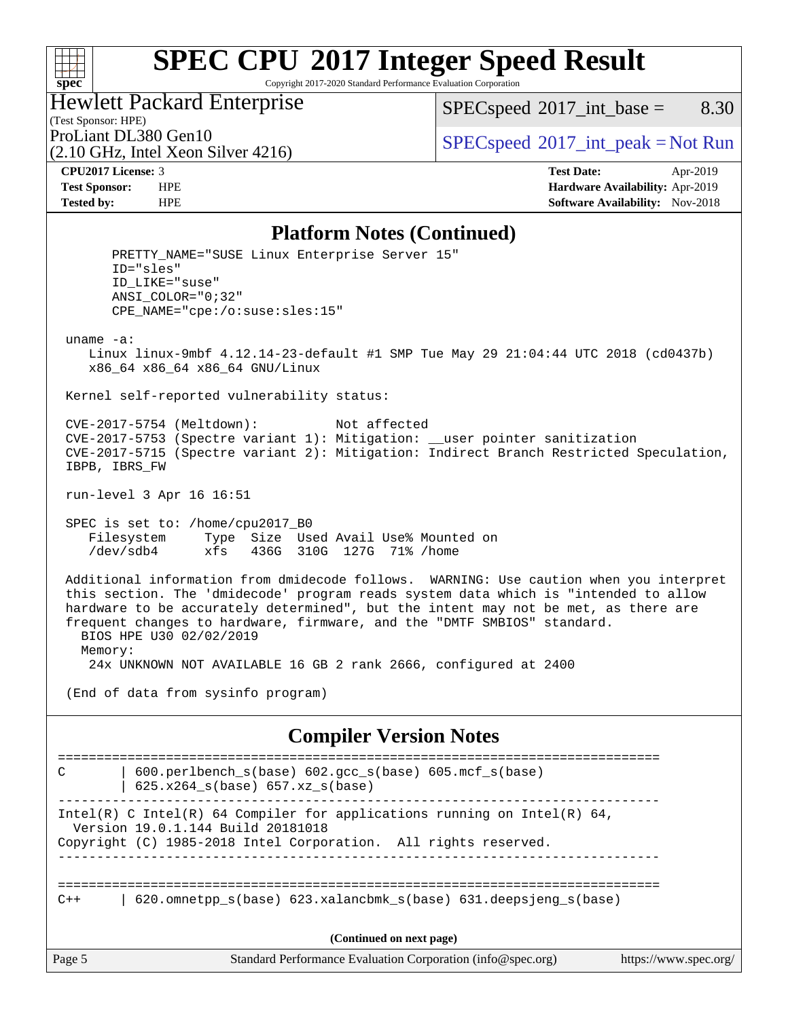Copyright 2017-2020 Standard Performance Evaluation Corporation

## Hewlett Packard Enterprise

(2.10 GHz, Intel Xeon Silver 4216)

 $SPEC speed^{\circ}2017\_int\_base =$  8.30

(Test Sponsor: HPE)

ProLiant DL380 Gen10<br>  $SPECspeed^{\circ}2017\_int\_peak = Not Run$  $SPECspeed^{\circ}2017\_int\_peak = Not Run$ 

**[spec](http://www.spec.org/)**

 $+\!\!+\!\!$ 

**[CPU2017 License:](http://www.spec.org/auto/cpu2017/Docs/result-fields.html#CPU2017License)** 3 **[Test Date:](http://www.spec.org/auto/cpu2017/Docs/result-fields.html#TestDate)** Apr-2019 **[Test Sponsor:](http://www.spec.org/auto/cpu2017/Docs/result-fields.html#TestSponsor)** HPE **[Hardware Availability:](http://www.spec.org/auto/cpu2017/Docs/result-fields.html#HardwareAvailability)** Apr-2019 **[Tested by:](http://www.spec.org/auto/cpu2017/Docs/result-fields.html#Testedby)** HPE **HPE [Software Availability:](http://www.spec.org/auto/cpu2017/Docs/result-fields.html#SoftwareAvailability)** Nov-2018

### **[Platform Notes \(Continued\)](http://www.spec.org/auto/cpu2017/Docs/result-fields.html#PlatformNotes)**

Page 5 Standard Performance Evaluation Corporation [\(info@spec.org\)](mailto:info@spec.org) <https://www.spec.org/> PRETTY NAME="SUSE Linux Enterprise Server 15" ID="sles" ID\_LIKE="suse" ANSI\_COLOR="0;32" CPE\_NAME="cpe:/o:suse:sles:15" uname -a: Linux linux-9mbf 4.12.14-23-default #1 SMP Tue May 29 21:04:44 UTC 2018 (cd0437b) x86\_64 x86\_64 x86\_64 GNU/Linux Kernel self-reported vulnerability status: CVE-2017-5754 (Meltdown): Not affected CVE-2017-5753 (Spectre variant 1): Mitigation: \_\_user pointer sanitization CVE-2017-5715 (Spectre variant 2): Mitigation: Indirect Branch Restricted Speculation, IBPB, IBRS\_FW run-level 3 Apr 16 16:51 SPEC is set to: /home/cpu2017\_B0 Filesystem Type Size Used Avail Use% Mounted on /dev/sdb4 xfs 436G 310G 127G 71% /home Additional information from dmidecode follows. WARNING: Use caution when you interpret this section. The 'dmidecode' program reads system data which is "intended to allow hardware to be accurately determined", but the intent may not be met, as there are frequent changes to hardware, firmware, and the "DMTF SMBIOS" standard. BIOS HPE U30 02/02/2019 Memory: 24x UNKNOWN NOT AVAILABLE 16 GB 2 rank 2666, configured at 2400 (End of data from sysinfo program) **[Compiler Version Notes](http://www.spec.org/auto/cpu2017/Docs/result-fields.html#CompilerVersionNotes)** ============================================================================== C | 600.perlbench\_s(base) 602.gcc\_s(base) 605.mcf\_s(base) | 625.x264\_s(base) 657.xz\_s(base) ------------------------------------------------------------------------------ Intel(R) C Intel(R) 64 Compiler for applications running on Intel(R)  $64$ , Version 19.0.1.144 Build 20181018 Copyright (C) 1985-2018 Intel Corporation. All rights reserved. ------------------------------------------------------------------------------ ==============================================================================  $C++$  | 620.omnetpp s(base) 623.xalancbmk s(base) 631.deepsjeng s(base) **(Continued on next page)**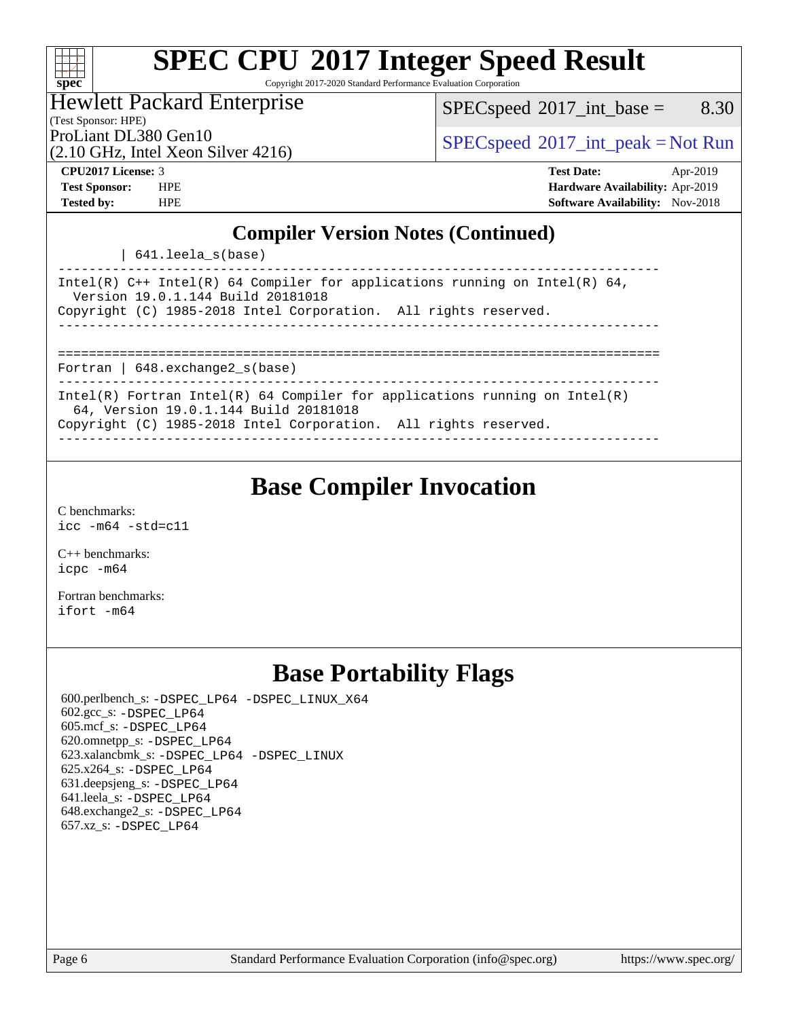### $+\ +$ **[spec](http://www.spec.org/)**

# **[SPEC CPU](http://www.spec.org/auto/cpu2017/Docs/result-fields.html#SPECCPU2017IntegerSpeedResult)[2017 Integer Speed Result](http://www.spec.org/auto/cpu2017/Docs/result-fields.html#SPECCPU2017IntegerSpeedResult)**

Copyright 2017-2020 Standard Performance Evaluation Corporation

## Hewlett Packard Enterprise

 $SPECspeed^{\circ}2017\_int\_base =$  $SPECspeed^{\circ}2017\_int\_base =$  8.30

(Test Sponsor: HPE)

(2.10 GHz, Intel Xeon Silver 4216)

ProLiant DL380 Gen10<br>  $SPECspeed^{\circ}2017\_int\_peak = Not Run$  $SPECspeed^{\circ}2017\_int\_peak = Not Run$ 

**[CPU2017 License:](http://www.spec.org/auto/cpu2017/Docs/result-fields.html#CPU2017License)** 3 **[Test Date:](http://www.spec.org/auto/cpu2017/Docs/result-fields.html#TestDate)** Apr-2019 **[Test Sponsor:](http://www.spec.org/auto/cpu2017/Docs/result-fields.html#TestSponsor)** HPE **[Hardware Availability:](http://www.spec.org/auto/cpu2017/Docs/result-fields.html#HardwareAvailability)** Apr-2019 **[Tested by:](http://www.spec.org/auto/cpu2017/Docs/result-fields.html#Testedby)** HPE **HPE [Software Availability:](http://www.spec.org/auto/cpu2017/Docs/result-fields.html#SoftwareAvailability)** Nov-2018

### **[Compiler Version Notes \(Continued\)](http://www.spec.org/auto/cpu2017/Docs/result-fields.html#CompilerVersionNotes)**

| 641.leela\_s(base)

------------------------------------------------------------------------------ Intel(R)  $C++$  Intel(R) 64 Compiler for applications running on Intel(R) 64, Version 19.0.1.144 Build 20181018 Copyright (C) 1985-2018 Intel Corporation. All rights reserved. ------------------------------------------------------------------------------ ============================================================================== Fortran | 648.exchange2\_s(base) ------------------------------------------------------------------------------ Intel(R) Fortran Intel(R) 64 Compiler for applications running on Intel(R) 64, Version 19.0.1.144 Build 20181018 Copyright (C) 1985-2018 Intel Corporation. All rights reserved. ------------------------------------------------------------------------------

# **[Base Compiler Invocation](http://www.spec.org/auto/cpu2017/Docs/result-fields.html#BaseCompilerInvocation)**

[C benchmarks](http://www.spec.org/auto/cpu2017/Docs/result-fields.html#Cbenchmarks): [icc -m64 -std=c11](http://www.spec.org/cpu2017/results/res2019q2/cpu2017-20190429-12999.flags.html#user_CCbase_intel_icc_64bit_c11_33ee0cdaae7deeeab2a9725423ba97205ce30f63b9926c2519791662299b76a0318f32ddfffdc46587804de3178b4f9328c46fa7c2b0cd779d7a61945c91cd35)

[C++ benchmarks:](http://www.spec.org/auto/cpu2017/Docs/result-fields.html#CXXbenchmarks) [icpc -m64](http://www.spec.org/cpu2017/results/res2019q2/cpu2017-20190429-12999.flags.html#user_CXXbase_intel_icpc_64bit_4ecb2543ae3f1412ef961e0650ca070fec7b7afdcd6ed48761b84423119d1bf6bdf5cad15b44d48e7256388bc77273b966e5eb805aefd121eb22e9299b2ec9d9)

[Fortran benchmarks](http://www.spec.org/auto/cpu2017/Docs/result-fields.html#Fortranbenchmarks): [ifort -m64](http://www.spec.org/cpu2017/results/res2019q2/cpu2017-20190429-12999.flags.html#user_FCbase_intel_ifort_64bit_24f2bb282fbaeffd6157abe4f878425411749daecae9a33200eee2bee2fe76f3b89351d69a8130dd5949958ce389cf37ff59a95e7a40d588e8d3a57e0c3fd751)

## **[Base Portability Flags](http://www.spec.org/auto/cpu2017/Docs/result-fields.html#BasePortabilityFlags)**

 600.perlbench\_s: [-DSPEC\\_LP64](http://www.spec.org/cpu2017/results/res2019q2/cpu2017-20190429-12999.flags.html#b600.perlbench_s_basePORTABILITY_DSPEC_LP64) [-DSPEC\\_LINUX\\_X64](http://www.spec.org/cpu2017/results/res2019q2/cpu2017-20190429-12999.flags.html#b600.perlbench_s_baseCPORTABILITY_DSPEC_LINUX_X64) 602.gcc\_s: [-DSPEC\\_LP64](http://www.spec.org/cpu2017/results/res2019q2/cpu2017-20190429-12999.flags.html#suite_basePORTABILITY602_gcc_s_DSPEC_LP64) 605.mcf\_s: [-DSPEC\\_LP64](http://www.spec.org/cpu2017/results/res2019q2/cpu2017-20190429-12999.flags.html#suite_basePORTABILITY605_mcf_s_DSPEC_LP64) 620.omnetpp\_s: [-DSPEC\\_LP64](http://www.spec.org/cpu2017/results/res2019q2/cpu2017-20190429-12999.flags.html#suite_basePORTABILITY620_omnetpp_s_DSPEC_LP64) 623.xalancbmk\_s: [-DSPEC\\_LP64](http://www.spec.org/cpu2017/results/res2019q2/cpu2017-20190429-12999.flags.html#suite_basePORTABILITY623_xalancbmk_s_DSPEC_LP64) [-DSPEC\\_LINUX](http://www.spec.org/cpu2017/results/res2019q2/cpu2017-20190429-12999.flags.html#b623.xalancbmk_s_baseCXXPORTABILITY_DSPEC_LINUX) 625.x264\_s: [-DSPEC\\_LP64](http://www.spec.org/cpu2017/results/res2019q2/cpu2017-20190429-12999.flags.html#suite_basePORTABILITY625_x264_s_DSPEC_LP64) 631.deepsjeng\_s: [-DSPEC\\_LP64](http://www.spec.org/cpu2017/results/res2019q2/cpu2017-20190429-12999.flags.html#suite_basePORTABILITY631_deepsjeng_s_DSPEC_LP64) 641.leela\_s: [-DSPEC\\_LP64](http://www.spec.org/cpu2017/results/res2019q2/cpu2017-20190429-12999.flags.html#suite_basePORTABILITY641_leela_s_DSPEC_LP64) 648.exchange2\_s: [-DSPEC\\_LP64](http://www.spec.org/cpu2017/results/res2019q2/cpu2017-20190429-12999.flags.html#suite_basePORTABILITY648_exchange2_s_DSPEC_LP64) 657.xz\_s: [-DSPEC\\_LP64](http://www.spec.org/cpu2017/results/res2019q2/cpu2017-20190429-12999.flags.html#suite_basePORTABILITY657_xz_s_DSPEC_LP64)